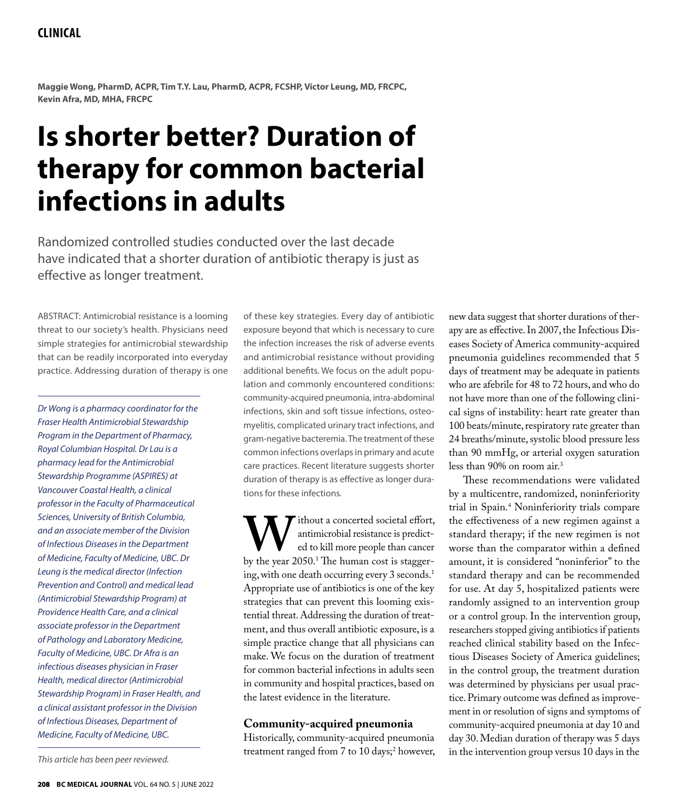# **Clinical**

**Maggie Wong, PharmD, ACPR, Tim T.Y. Lau, PharmD, ACPR, FCSHP, Victor Leung, MD, FRCPC, Kevin Afra, MD, MHA, FRCPC**

# **Is shorter better? Duration of therapy for common bacterial infections in adults**

Randomized controlled studies conducted over the last decade have indicated that a shorter duration of antibiotic therapy is just as effective as longer treatment.

ABSTRACT: Antimicrobial resistance is a looming threat to our society's health. Physicians need simple strategies for antimicrobial stewardship that can be readily incorporated into everyday practice. Addressing duration of therapy is one

*Dr Wong is a pharmacy coordinator for the Fraser Health Antimicrobial Stewardship Program in the Department of Pharmacy, Royal Columbian Hospital. Dr Lau is a pharmacy lead for the Antimicrobial Stewardship Programme (ASPIRES) at Vancouver Coastal Health, a clinical professor in the Faculty of Pharmaceutical Sciences, University of British Columbia, and an associate member of the Division of Infectious Diseases in the Department of Medicine, Faculty of Medicine, UBC. Dr Leung is the medical director (Infection Prevention and Control) and medical lead (Antimicrobial Stewardship Program) at Providence Health Care, and a clinical associate professor in the Department of Pathology and Laboratory Medicine, Faculty of Medicine, UBC. Dr Afra is an infectious diseases physician in Fraser Health, medical director (Antimicrobial Stewardship Program) in Fraser Health, and a clinical assistant professor in the Division of Infectious Diseases, Department of Medicine, Faculty of Medicine, UBC.*

of these key strategies. Every day of antibiotic exposure beyond that which is necessary to cure the infection increases the risk of adverse events and antimicrobial resistance without providing additional benefits. We focus on the adult population and commonly encountered conditions: community-acquired pneumonia, intra-abdominal infections, skin and soft tissue infections, osteomyelitis, complicated urinary tract infections, and gram-negative bacteremia. The treatment of these common infections overlaps in primary and acute care practices. Recent literature suggests shorter duration of therapy is as effective as longer durations for these infections.

Without a concerted societal effort,<br>
ed to kill more people than cancer<br>
by the year 2050.<sup>1</sup> The human cost is staggerantimicrobial resistance is predicted to kill more people than cancer ing, with one death occurring every 3 seconds.<sup>1</sup> Appropriate use of antibiotics is one of the key strategies that can prevent this looming existential threat. Addressing the duration of treatment, and thus overall antibiotic exposure, is a simple practice change that all physicians can make. We focus on the duration of treatment for common bacterial infections in adults seen in community and hospital practices, based on the latest evidence in the literature.

# **Community-acquired pneumonia**

Historically, community-acquired pneumonia treatment ranged from 7 to 10 days;2 however,

new data suggest that shorter durations of therapy are as effective. In 2007, the Infectious Diseases Society of America community-acquired pneumonia guidelines recommended that 5 days of treatment may be adequate in patients who are afebrile for 48 to 72 hours, and who do not have more than one of the following clinical signs of instability: heart rate greater than 100 beats/minute, respiratory rate greater than 24 breaths/minute, systolic blood pressure less than 90 mmHg, or arterial oxygen saturation less than 90% on room air.3

These recommendations were validated by a multicentre, randomized, noninferiority trial in Spain.4 Noninferiority trials compare the effectiveness of a new regimen against a standard therapy; if the new regimen is not worse than the comparator within a defined amount, it is considered "noninferior" to the standard therapy and can be recommended for use. At day 5, hospitalized patients were randomly assigned to an intervention group or a control group. In the intervention group, researchers stopped giving antibiotics if patients reached clinical stability based on the Infectious Diseases Society of America guidelines; in the control group, the treatment duration was determined by physicians per usual practice. Primary outcome was defined as improvement in or resolution of signs and symptoms of community-acquired pneumonia at day 10 and day 30. Median duration of therapy was 5 days in the intervention group versus 10 days in the

*This article has been peer reviewed.*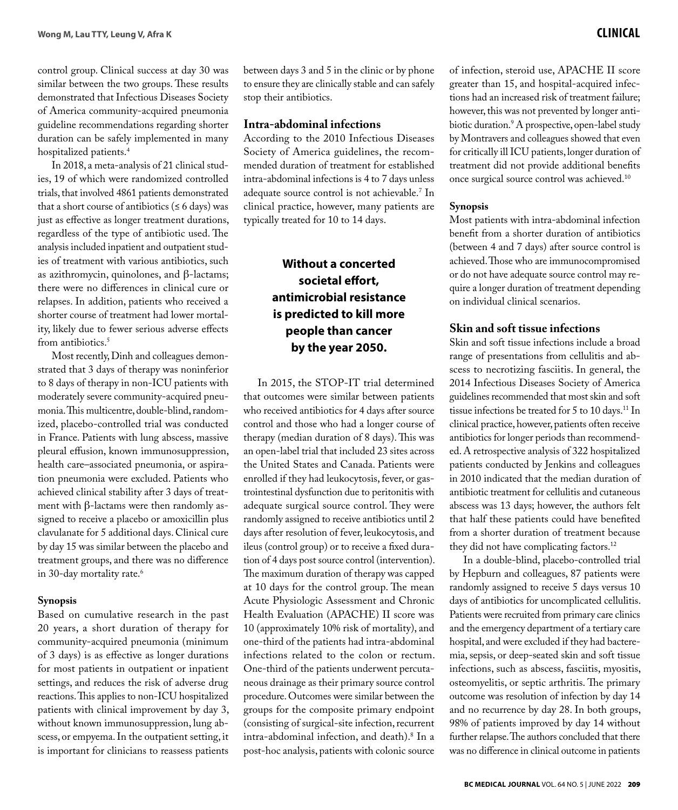control group. Clinical success at day 30 was similar between the two groups. These results demonstrated that Infectious Diseases Society of America community-acquired pneumonia guideline recommendations regarding shorter duration can be safely implemented in many hospitalized patients.<sup>4</sup>

In 2018, a meta-analysis of 21 clinical studies, 19 of which were randomized controlled trials, that involved 4861 patients demonstrated that a short course of antibiotics ( $\leq 6$  days) was just as effective as longer treatment durations, regardless of the type of antibiotic used. The analysis included inpatient and outpatient studies of treatment with various antibiotics, such as azithromycin, quinolones, and β-lactams; there were no differences in clinical cure or relapses. In addition, patients who received a shorter course of treatment had lower mortality, likely due to fewer serious adverse effects from antibiotics.<sup>5</sup>

Most recently, Dinh and colleagues demonstrated that 3 days of therapy was noninferior to 8 days of therapy in non-ICU patients with moderately severe community-acquired pneumonia. This multicentre, double-blind, randomized, placebo-controlled trial was conducted in France. Patients with lung abscess, massive pleural effusion, known immunosuppression, health care–associated pneumonia, or aspiration pneumonia were excluded. Patients who achieved clinical stability after 3 days of treatment with β-lactams were then randomly assigned to receive a placebo or amoxicillin plus clavulanate for 5 additional days. Clinical cure by day 15 was similar between the placebo and treatment groups, and there was no difference in 30-day mortality rate.<sup>6</sup>

# **Synopsis**

Based on cumulative research in the past 20 years, a short duration of therapy for community-acquired pneumonia (minimum of 3 days) is as effective as longer durations for most patients in outpatient or inpatient settings, and reduces the risk of adverse drug reactions. This applies to non-ICU hospitalized patients with clinical improvement by day 3, without known immunosuppression, lung abscess, or empyema. In the outpatient setting, it is important for clinicians to reassess patients between days 3 and 5 in the clinic or by phone to ensure they are clinically stable and can safely stop their antibiotics.

# **Intra-abdominal infections**

According to the 2010 Infectious Diseases Society of America guidelines, the recommended duration of treatment for established intra-abdominal infections is 4 to 7 days unless adequate source control is not achievable.7 In clinical practice, however, many patients are typically treated for 10 to 14 days.

# **Without a concerted societal effort, antimicrobial resistance is predicted to kill more people than cancer by the year 2050.**

In 2015, the STOP-IT trial determined that outcomes were similar between patients who received antibiotics for 4 days after source control and those who had a longer course of therapy (median duration of 8 days). This was an open-label trial that included 23 sites across the United States and Canada. Patients were enrolled if they had leukocytosis, fever, or gastrointestinal dysfunction due to peritonitis with adequate surgical source control. They were randomly assigned to receive antibiotics until 2 days after resolution of fever, leukocytosis, and ileus (control group) or to receive a fixed duration of 4 days post source control (intervention). The maximum duration of therapy was capped at 10 days for the control group. The mean Acute Physiologic Assessment and Chronic Health Evaluation (APACHE) II score was 10 (approximately 10% risk of mortality), and one-third of the patients had intra-abdominal infections related to the colon or rectum. One-third of the patients underwent percutaneous drainage as their primary source control procedure. Outcomes were similar between the groups for the composite primary endpoint (consisting of surgical-site infection, recurrent intra-abdominal infection, and death).8 In a post-hoc analysis, patients with colonic source

of infection, steroid use, APACHE II score greater than 15, and hospital-acquired infections had an increased risk of treatment failure; however, this was not prevented by longer antibiotic duration.9 A prospective, open-label study by Montravers and colleagues showed that even for critically ill ICU patients, longer duration of treatment did not provide additional benefits once surgical source control was achieved.10

# **Synopsis**

Most patients with intra-abdominal infection benefit from a shorter duration of antibiotics (between 4 and 7 days) after source control is achieved. Those who are immunocompromised or do not have adequate source control may require a longer duration of treatment depending on individual clinical scenarios.

# **Skin and soft tissue infections**

Skin and soft tissue infections include a broad range of presentations from cellulitis and abscess to necrotizing fasciitis. In general, the 2014 Infectious Diseases Society of America guidelines recommended that most skin and soft tissue infections be treated for 5 to 10 days.<sup>11</sup> In clinical practice, however, patients often receive antibiotics for longer periods than recommended. A retrospective analysis of 322 hospitalized patients conducted by Jenkins and colleagues in 2010 indicated that the median duration of antibiotic treatment for cellulitis and cutaneous abscess was 13 days; however, the authors felt that half these patients could have benefited from a shorter duration of treatment because they did not have complicating factors.<sup>12</sup>

In a double-blind, placebo-controlled trial by Hepburn and colleagues, 87 patients were randomly assigned to receive 5 days versus 10 days of antibiotics for uncomplicated cellulitis. Patients were recruited from primary care clinics and the emergency department of a tertiary care hospital, and were excluded if they had bacteremia, sepsis, or deep-seated skin and soft tissue infections, such as abscess, fasciitis, myositis, osteomyelitis, or septic arthritis. The primary outcome was resolution of infection by day 14 and no recurrence by day 28. In both groups, 98% of patients improved by day 14 without further relapse. The authors concluded that there was no difference in clinical outcome in patients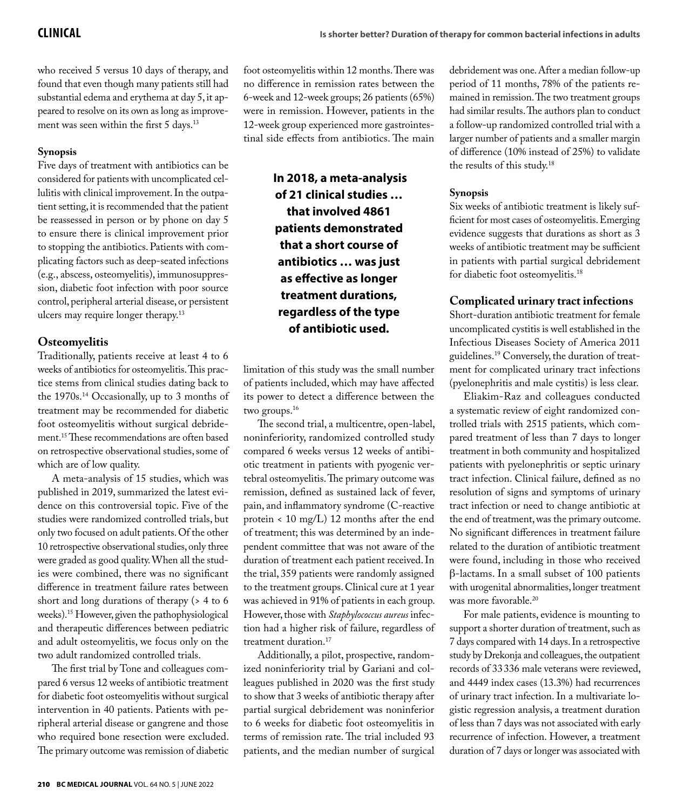who received 5 versus 10 days of therapy, and found that even though many patients still had substantial edema and erythema at day 5, it appeared to resolve on its own as long as improvement was seen within the first 5 days.<sup>13</sup>

# **Synopsis**

Five days of treatment with antibiotics can be considered for patients with uncomplicated cellulitis with clinical improvement. In the outpatient setting, it is recommended that the patient be reassessed in person or by phone on day 5 to ensure there is clinical improvement prior to stopping the antibiotics. Patients with complicating factors such as deep-seated infections (e.g., abscess, osteomyelitis), immunosuppression, diabetic foot infection with poor source control, peripheral arterial disease, or persistent ulcers may require longer therapy.13

# **Osteomyelitis**

Traditionally, patients receive at least 4 to 6 weeks of antibiotics for osteomyelitis. This practice stems from clinical studies dating back to the 1970s.14 Occasionally, up to 3 months of treatment may be recommended for diabetic foot osteomyelitis without surgical debridement.15 These recommendations are often based on retrospective observational studies, some of which are of low quality.

A meta-analysis of 15 studies, which was published in 2019, summarized the latest evidence on this controversial topic. Five of the studies were randomized controlled trials, but only two focused on adult patients. Of the other 10 retrospective observational studies, only three were graded as good quality. When all the studies were combined, there was no significant difference in treatment failure rates between short and long durations of therapy (> 4 to 6 weeks).15 However, given the pathophysiological and therapeutic differences between pediatric and adult osteomyelitis, we focus only on the two adult randomized controlled trials.

The first trial by Tone and colleagues compared 6 versus 12 weeks of antibiotic treatment for diabetic foot osteomyelitis without surgical intervention in 40 patients. Patients with peripheral arterial disease or gangrene and those who required bone resection were excluded. The primary outcome was remission of diabetic foot osteomyelitis within 12 months. There was no difference in remission rates between the 6-week and 12-week groups; 26 patients (65%) were in remission. However, patients in the 12-week group experienced more gastrointestinal side effects from antibiotics. The main

> **In 2018, a meta-analysis of 21 clinical studies … that involved 4861 patients demonstrated that a short course of antibiotics … was just as effective as longer treatment durations, regardless of the type of antibiotic used.**

limitation of this study was the small number of patients included, which may have affected its power to detect a difference between the two groups.<sup>16</sup>

The second trial, a multicentre, open-label, noninferiority, randomized controlled study compared 6 weeks versus 12 weeks of antibiotic treatment in patients with pyogenic vertebral osteomyelitis. The primary outcome was remission, defined as sustained lack of fever, pain, and inflammatory syndrome (C-reactive protein < 10 mg/L) 12 months after the end of treatment; this was determined by an independent committee that was not aware of the duration of treatment each patient received. In the trial, 359 patients were randomly assigned to the treatment groups. Clinical cure at 1 year was achieved in 91% of patients in each group. However, those with *Staphylococcus aureus* infection had a higher risk of failure, regardless of treatment duration.<sup>17</sup>

Additionally, a pilot, prospective, randomized noninferiority trial by Gariani and colleagues published in 2020 was the first study to show that 3 weeks of antibiotic therapy after partial surgical debridement was noninferior to 6 weeks for diabetic foot osteomyelitis in terms of remission rate. The trial included 93 patients, and the median number of surgical

debridement was one. After a median follow-up period of 11 months, 78% of the patients remained in remission. The two treatment groups had similar results. The authors plan to conduct a follow-up randomized controlled trial with a larger number of patients and a smaller margin of difference (10% instead of 25%) to validate the results of this study.18

# **Synopsis**

Six weeks of antibiotic treatment is likely sufficient for most cases of osteomyelitis. Emerging evidence suggests that durations as short as 3 weeks of antibiotic treatment may be sufficient in patients with partial surgical debridement for diabetic foot osteomyelitis.18

# **Complicated urinary tract infections**

Short-duration antibiotic treatment for female uncomplicated cystitis is well established in the Infectious Diseases Society of America 2011 guidelines.19 Conversely, the duration of treatment for complicated urinary tract infections (pyelonephritis and male cystitis) is less clear.

Eliakim-Raz and colleagues conducted a systematic review of eight randomized controlled trials with 2515 patients, which compared treatment of less than 7 days to longer treatment in both community and hospitalized patients with pyelonephritis or septic urinary tract infection. Clinical failure, defined as no resolution of signs and symptoms of urinary tract infection or need to change antibiotic at the end of treatment, was the primary outcome. No significant differences in treatment failure related to the duration of antibiotic treatment were found, including in those who received β-lactams. In a small subset of 100 patients with urogenital abnormalities, longer treatment was more favorable.<sup>20</sup>

For male patients, evidence is mounting to support a shorter duration of treatment, such as 7 days compared with 14 days. In a retrospective study by Drekonja and colleagues, the outpatient records of 33336 male veterans were reviewed, and 4449 index cases (13.3%) had recurrences of urinary tract infection. In a multivariate logistic regression analysis, a treatment duration of less than 7 days was not associated with early recurrence of infection. However, a treatment duration of 7 days or longer was associated with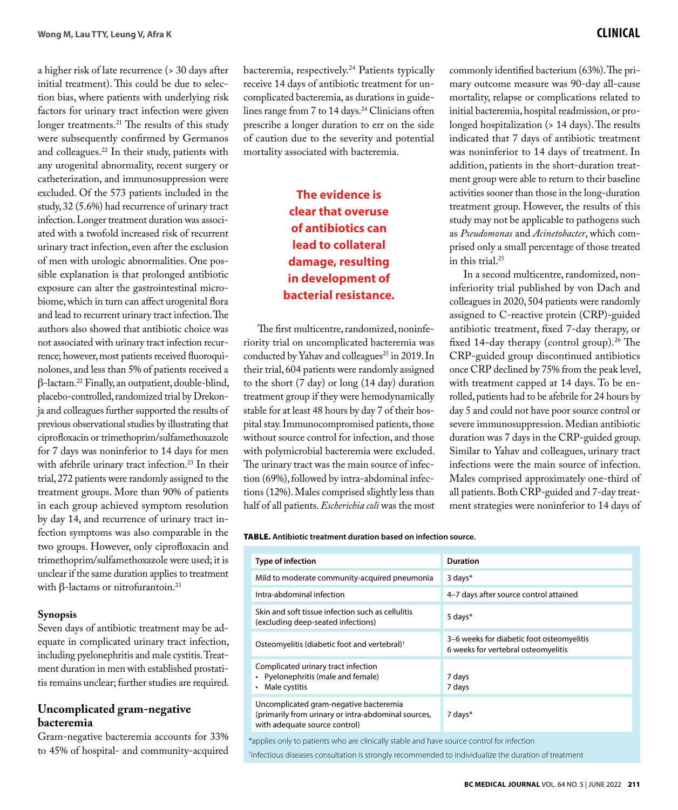a higher risk of late recurrence (> 30 days after initial treatment). This could be due to selection bias, where patients with underlying risk factors for urinary tract infection were given longer treatments.<sup>21</sup> The results of this study were subsequently confirmed by Germanos and colleagues.<sup>22</sup> In their study, patients with any urogenital abnormality, recent surgery or catheterization, and immunosuppression were excluded. Of the 573 patients included in the study, 32 (5.6%) had recurrence of urinary tract infection. Longer treatment duration was associated with a twofold increased risk of recurrent urinary tract infection, even after the exclusion of men with urologic abnormalities. One possible explanation is that prolonged antibiotic exposure can alter the gastrointestinal microbiome, which in turn can affect urogenital flora and lead to recurrent urinary tract infection. The authors also showed that antibiotic choice was not associated with urinary tract infection recurrence; however, most patients received fluoroquinolones, and less than 5% of patients received a β-lactam.22 Finally, an outpatient, double-blind, placebo-controlled, randomized trial by Drekonja and colleagues further supported the results of previous observational studies by illustrating that ciprofloxacin or trimethoprim/sulfamethoxazole for 7 days was noninferior to 14 days for men with afebrile urinary tract infection.<sup>23</sup> In their trial, 272 patients were randomly assigned to the treatment groups. More than 90% of patients in each group achieved symptom resolution by day 14, and recurrence of urinary tract infection symptoms was also comparable in the two groups. However, only ciprofloxacin and trimethoprim/sulfamethoxazole were used; it is unclear if the same duration applies to treatment with β-lactams or nitrofurantoin.<sup>23</sup>

### **Synopsis**

Seven days of antibiotic treatment may be adequate in complicated urinary tract infection, including pyelonephritis and male cystitis. Treatment duration in men with established prostatitis remains unclear; further studies are required.

# **Uncomplicated gram-negative bacteremia**

Gram-negative bacteremia accounts for 33% to 45% of hospital- and community-acquired bacteremia, respectively.24 Patients typically receive 14 days of antibiotic treatment for uncomplicated bacteremia, as durations in guidelines range from 7 to 14 days.<sup>24</sup> Clinicians often prescribe a longer duration to err on the side of caution due to the severity and potential mortality associated with bacteremia.

# **The evidence is clear that overuse of antibiotics can lead to collateral damage, resulting in development of bacterial resistance.**

The first multicentre, randomized, noninferiority trial on uncomplicated bacteremia was conducted by Yahav and colleagues<sup>25</sup> in 2019. In their trial, 604 patients were randomly assigned to the short (7 day) or long (14 day) duration treatment group if they were hemodynamically stable for at least 48 hours by day 7 of their hospital stay. Immunocompromised patients, those without source control for infection, and those with polymicrobial bacteremia were excluded. The urinary tract was the main source of infection (69%), followed by intra-abdominal infections (12%). Males comprised slightly less than half of all patients. *Escherichia coli* was the most

commonly identified bacterium (63%). The primary outcome measure was 90-day all-cause mortality, relapse or complications related to initial bacteremia, hospital readmission, or prolonged hospitalization (> 14 days). The results indicated that 7 days of antibiotic treatment was noninferior to 14 days of treatment. In addition, patients in the short-duration treatment group were able to return to their baseline activities sooner than those in the long-duration treatment group. However, the results of this study may not be applicable to pathogens such as *Pseudomonas* and *Acinetobacter*, which comprised only a small percentage of those treated in this trial.25

In a second multicentre, randomized, noninferiority trial published by von Dach and colleagues in 2020, 504 patients were randomly assigned to C-reactive protein (CRP)-guided antibiotic treatment, fixed 7-day therapy, or fixed 14-day therapy (control group).<sup>26</sup> The CRP-guided group discontinued antibiotics once CRP declined by 75% from the peak level, with treatment capped at 14 days. To be enrolled, patients had to be afebrile for 24 hours by day 5 and could not have poor source control or severe immunosuppression. Median antibiotic duration was 7 days in the CRP-guided group. Similar to Yahav and colleagues, urinary tract infections were the main source of infection. Males comprised approximately one-third of all patients. Both CRP-guided and 7-day treatment strategies were noninferior to 14 days of

#### Table. **Antibiotic treatment duration based on infection source.**

| Type of infection                                                                                                              | <b>Duration</b>                                                                  |
|--------------------------------------------------------------------------------------------------------------------------------|----------------------------------------------------------------------------------|
| Mild to moderate community-acquired pneumonia                                                                                  | $3$ days $*$                                                                     |
| Intra-abdominal infection                                                                                                      | 4-7 days after source control attained                                           |
| Skin and soft tissue infection such as cellulitis<br>(excluding deep-seated infections)                                        | 5 days*                                                                          |
| Osteomyelitis (diabetic foot and vertebral) <sup>†</sup>                                                                       | 3-6 weeks for diabetic foot osteomyelitis<br>6 weeks for vertebral osteomyelitis |
| Complicated urinary tract infection<br>• Pyelonephritis (male and female)<br>Male cystitis<br>٠                                | 7 days<br>7 days                                                                 |
| Uncomplicated gram-negative bacteremia<br>(primarily from urinary or intra-abdominal sources,<br>with adequate source control) | 7 days*                                                                          |
| *applies only to patients who are clinically stable and have source control for infection                                      |                                                                                  |

† infectious diseases consultation is strongly recommended to individualize the duration of treatment